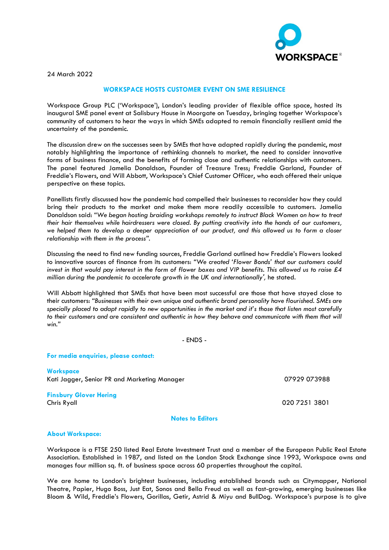

24 March 2022

## **WORKSPACE HOSTS CUSTOMER EVENT ON SME RESILIENCE**

Workspace Group PLC ('Workspace'), London's leading provider of flexible office space, hosted its inaugural SME panel event at Salisbury House in Moorgate on Tuesday, bringing together Workspace's community of customers to hear the ways in which SMEs adapted to remain financially resilient amid the uncertainty of the pandemic.

The discussion drew on the successes seen by SMEs that have adapted rapidly during the pandemic, most notably highlighting the importance of rethinking channels to market, the need to consider innovative forms of business finance, and the benefits of forming close and authentic relationships with customers. The panel featured Jamelia Donaldson, Founder of Treasure Tress; Freddie Garland, Founder of Freddie's Flowers, and Will Abbott, Workspace's Chief Customer Officer, who each offered their unique perspective on these topics.

Panellists firstly discussed how the pandemic had compelled their businesses to reconsider how they could bring their products to the market and make them more readily accessible to customers. Jamelia Donaldson said: *"We began hosting braiding workshops remotely to instruct Black Women on how to treat their hair themselves while hairdressers were closed. By putting creativity into the hands of our customers, we helped them to develop a deeper appreciation of our product, and this allowed us to form a closer relationship with them in the process".*

Discussing the need to find new funding sources, Freddie Garland outlined how Freddie's Flowers looked to innovative sources of finance from its customers: *"We created 'Flower Bonds' that our customers could*  invest in that would pay interest in the form of flower boxes and VIP benefits. This allowed us to raise £4 *million during the pandemic to accelerate growth in the UK and internationally',* he stated*.*

Will Abbott highlighted that SMEs that have been most successful are those that have stayed close to their customers: *"Businesses with their own unique and authentic brand personality have flourished. SMEs are specially placed to adapt rapidly to new opportunities in the market and it's those that listen most carefully*  to their customers and are consistent and authentic in how they behave and communicate with them that will *win."*

- ENDS -

**For media enquiries, please contact:**

**Workspace** Kati Jagger, Senior PR and Marketing Manager **1888** 1888 1899 1898 1899 1898 1899 1898 1899 1898 1899 1899 1899 1

## **Finsbury Glover Hering** Chris Ryall 020 7251 3801

**Notes to Editors**

## **About Workspace:**

Workspace is a FTSE 250 listed Real Estate Investment Trust and a member of the European Public Real Estate Association. Established in 1987, and listed on the London Stock Exchange since 1993, Workspace owns and manages four million sq. ft. of business space across 60 properties throughout the capital.

We are home to London's brightest businesses, including established brands such as Citymapper, National Theatre, Papier, Hugo Boss, Just Eat, Sonos and Bella Freud as well as fast-growing, emerging businesses like Bloom & Wild, Freddie's Flowers, Gorillas, Getir, Astrid & Miyu and BullDog. Workspace's purpose is to give